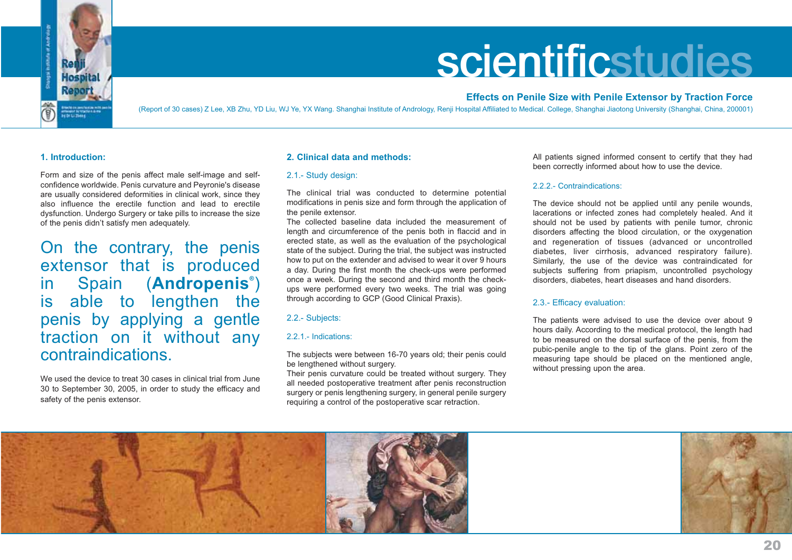

# **scientificstudies**

## **Effects on Penile Size with Penile Extensor by Traction Force**

(Report of 30 cases) Z Lee, XB Zhu, YD Liu, WJ Ye, YX Wang. Shanghai Institute of Andrology, Renji Hospital Affiliated to Medical. College, Shanghai Jiaotong University (Shanghai, China, 200001)

### **1. Introduction:**

Form and size of the penis affect male self-image and selfconfidence worldwide. Penis curvature and Peyronie's disease are usually considered deformities in clinical work, since they also influence the erectile function and lead to erectiledysfunction. Undergo Surgery or take pills to increase the size of the penis didn't satisfy men adequately.

On the contrary, the penis extensor that is produced in Spain (**Andropenis®**) is able to lengthen the penis by applying a gentle traction on it without any contraindications.

We used the device to treat 30 cases in clinical trial from June 30 to September 30, 2005, in order to study the efficacy and safety of the penis extensor.

### **2. Clinical data and methods:**

#### 2.1.- Study design:

The clinical trial was conducted to determine potential modifications in penis size and form through the application of the penile extensor.

The collected baseline data included the measurement oflength and circumference of the penis both in flaccid and in erected state, as well as the evaluation of the psychological state of the subject. During the trial, the subject was instructed how to put on the extender and advised to wear it over 9 hours a day. During the first month the check-ups were performed once a week. During the second and third month the checkups were performed every two weeks. The trial was going through according to GCP (Good Clinical Praxis).

### 2.2.- Subjects:

### 2.2.1.- Indications:

The subjects were between 16-70 years old; their penis could be lengthened without surgery.

Their penis curvature could be treated without surgery. They all needed postoperative treatment after penis reconstruction surgery or penis lengthening surgery, in general penile surgery requiring a control of the postoperative scar retraction.

All patients signed informed consent to certify that they had been correctly informed about how to use the device.

#### 2.2.2.- Contraindications:

The device should not be applied until any penile wounds, lacerations or infected zones had completely healed. And it should not be used by patients with penile tumor, chronic disorders affecting the blood circulation, or the oxygenation and regeneration of tissues (advanced or uncontrolled diabetes, liver cirrhosis, advanced respiratory failure). Similarly, the use of the device was contraindicated for subjects suffering from priapism, uncontrolled psychology disorders, diabetes, heart diseases and hand disorders.

### 2.3.- Efficacy evaluation:

The patients were advised to use the device over about 9 hours daily. According to the medical protocol, the length had to be measured on the dorsal surface of the penis, from the pubic-penile angle to the tip of the glans. Point zero of the measuring tape should be placed on the mentioned angle, without pressing upon the area.



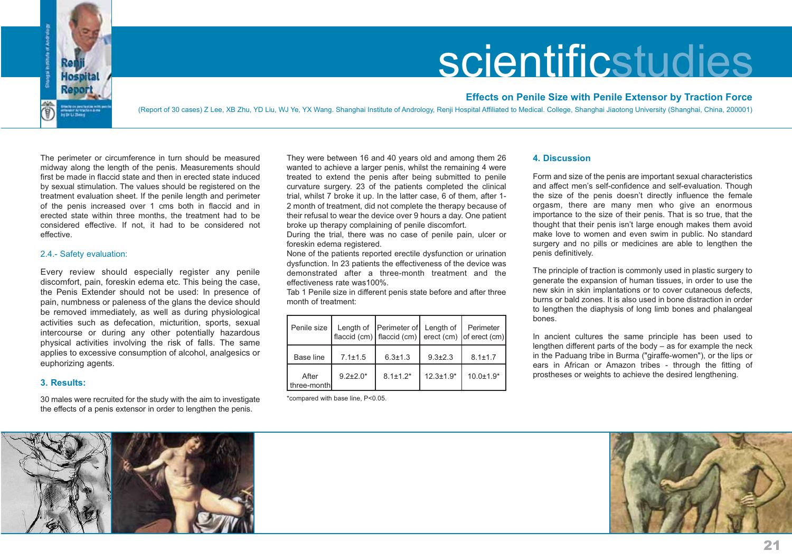

# scientificstudies

## **Effects on Penile Size with Penile Extensor by Traction Force**

(Report of 30 cases) Z Lee, XB Zhu, YD Liu, WJ Ye, YX Wang. Shanghai Institute of Andrology, Renji Hospital Affiliated to Medical. College, Shanghai Jiaotong University (Shanghai, China, 200001)

The perimeter or circumference in turn should be measured midway along the length of the penis. Measurements should first be made in flaccid state and then in erected state inducedby sexual stimulation. The values should be registered on the treatment evaluation sheet. If the penile length and perimeter of the penis increased over 1 cms both in flaccid and in erected state within three months, the treatment had to be considered effective. If not, it had to be considered not effective.

#### 2.4.- Safety evaluation:

Every review should especially register any penile discomfort, pain, foreskin edema etc. This being the case, the Penis Extender should not be used: In presence of pain, numbness or paleness of the glans the device should be removed immediately, as well as during physiological activities such as defecation, micturition, sports, sexual intercourse or during any other potentially hazardous physical activities involving the risk of falls. The same applies to excessive consumption of alcohol, analgesics or euphorizing agents.

### **3. Results:**

30 males were recruited for the study with the aim to investigate the effects of a penis extensor in order to lengthen the penis.

They were between 16 and 40 years old and among them 26 wanted to achieve a larger penis, whilst the remaining 4 were treated to extend the penis after being submitted to penile curvature surgery. 23 of the patients completed the clinical trial, whilst 7 broke it up. In the latter case, 6 of them, after 1- 2 month of treatment, did not complete the therapy because of their refusal to wear the device over 9 hours a day. One patient broke up therapy complaining of penile discomfort.

During the trial, there was no case of penile pain, ulcer or foreskin edema registered.

None of the patients reported erectile dysfunction or urination dysfunction. In 23 patients the effectiveness of the device was demonstrated after a three-month treatment and theeffectiveness rate was100%.

Tab 1 Penile size in different penis state before and after three month of treatment:

| Penile size          |                 | Length of   Perimeter of   Length of |               | Perimeter<br>flaccid (cm) $ $ flaccid (cm) $ $ erect (cm) $ $ of erect (cm) $ $ |
|----------------------|-----------------|--------------------------------------|---------------|---------------------------------------------------------------------------------|
| Base line            | $7.1 \pm 1.5$   | $6.3 \pm 1.3$                        | $9.3 \pm 2.3$ | $8.1 \pm 1.7$                                                                   |
| After<br>three-month | $9.2 \pm 2.0^*$ | $8.1 + 1.2*$                         | $12.3 + 1.9*$ | $10.0 \pm 1.9^*$                                                                |

\*compared with base line, P<0.05.

### **4. Discussion**

Form and size of the penis are important sexual characteristics and affect men's self-confidence and self-evaluation. Though the size of the penis doesn't directly influence the female orgasm, there are many men who give an enormous importance to the size of their penis. That is so true, that the thought that their penis isn't large enough makes them avoid make love to women and even swim in public. No standard surgery and no pills or medicines are able to lengthen the penis definitively.

The principle of traction is commonly used in plastic surgery to generate the expansion of human tissues, in order to use the new skin in skin implantations or to cover cutaneous defects, burns or bald zones. It is also used in bone distraction in orderto lengthen the diaphysis of long limb bones and phalangeal bones.

In ancient cultures the same principle has been used to lengthen different parts of the body – as for example the neck in the Paduang tribe in Burma ("giraffe-women"), or the lips or ears in African or Amazon tribes - through the fitting of prostheses or weights to achieve the desired lengthening.